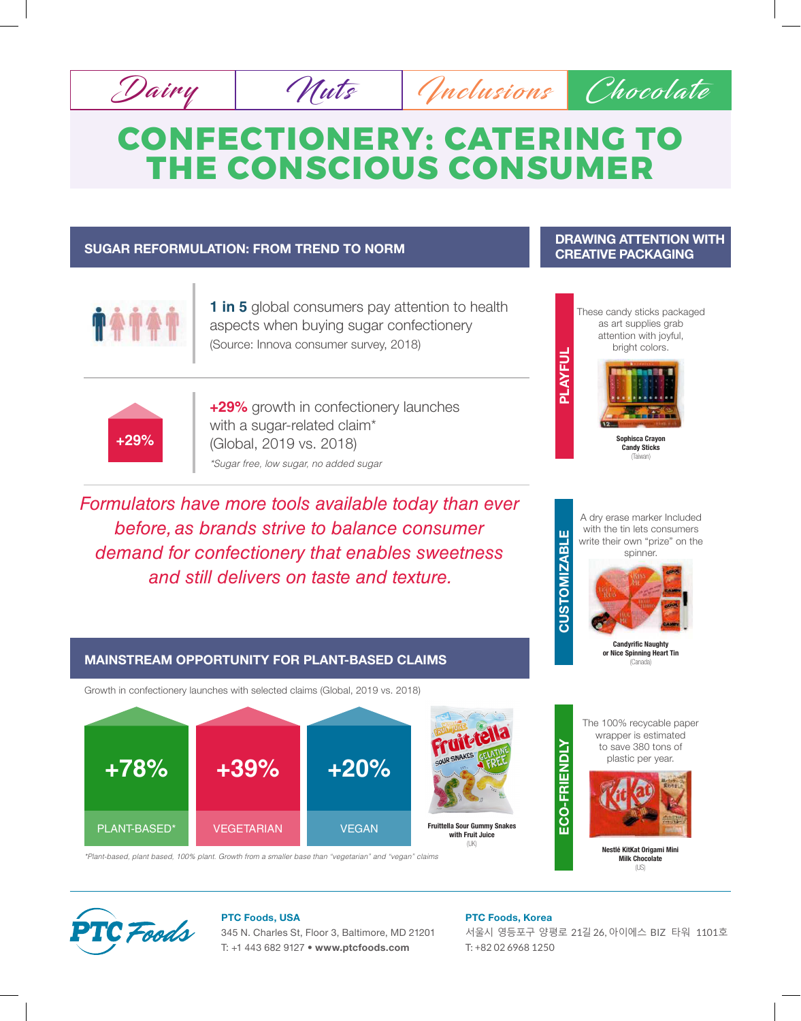

# **CONFECTIONERY: CATERING TO THE CONSCIOUS CONSUMER**

### **SUGAR REFORMULATION: FROM TREND TO NORM**



**1 in 5** global consumers pay attention to health aspects when buying sugar confectionery (Source: Innova consumer survey, 2018)



**+29%** growth in confectionery launches with a sugar-related claim\* (Global, 2019 vs. 2018) *\*Sugar free, low sugar, no added sugar*

*Formulators have more tools available today than ever before, as brands strive to balance consumer demand for confectionery that enables sweetness and still delivers on taste and texture.*



**DRAWING ATTENTION WITH CREATIVE PACKAGING**

A dry erase marker Included with the tin lets consumers write their own "prize" on the spinner.



**Candyrific Naught or Nice Spinning Heart Tin**  (Canada)

**Nestlé KitKat Origami Mini Milk Chocolate**  $(US)$ 

## **Fruittella Sour Gummy Snakes with Fruit Juice +78%** PLANT-BASED\* VEGETARIAN VEGAN **+39% +20%**

Growth in confectionery launches with selected claims (Global, 2019 vs. 2018)

**MAINSTREAM OPPORTUNITY FOR PLANT-BASED CLAIMS**



**CUSTOMIZABLE**

**CUSTOMIZABL** 

Щ

(UK)

*\*Plant-based, plant based, 100% plant. Growth from a smaller base than "vegetarian" and "vegan" claims*



### **PTC Foods, USA**

345 N. Charles St, Floor 3, Baltimore, MD 21201 T: +1 443 682 9127 • **www.ptcfoods.com**

### **PTC Foods, Korea**

서울시 영등포구 양평로 21길 26, 아이에스 BIZ 타워 1101호 T: +82 02 6968 1250